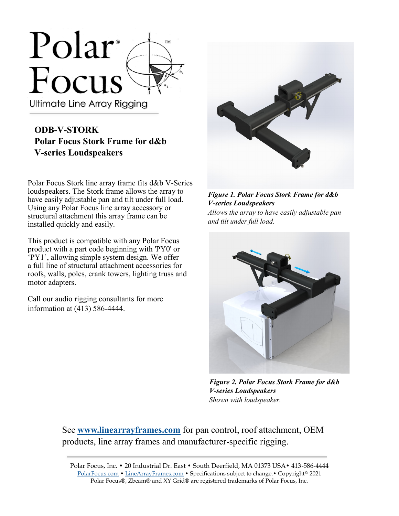

## **ODB-V-STORK Polar Focus Stork Frame for d&b V-series Loudspeakers**

Polar Focus Stork line array frame fits d&b V-Series loudspeakers. The Stork frame allows the array to have easily adjustable pan and tilt under full load. Using any Polar Focus line array accessory or structural attachment this array frame can be installed quickly and easily.

This product is compatible with any Polar Focus product with a part code beginning with 'PY0' or 'PY1', allowing simple system design. We offer a full line of structural attachment accessories for roofs, walls, poles, crank towers, lighting truss and motor adapters.

Call our audio rigging consultants for more information at (413) 586-4444.



*Figure 1. Polar Focus Stork Frame for d&b V-series Loudspeakers Allows the array to have easily adjustable pan and tilt under full load.*



*Figure 2. Polar Focus Stork Frame for d&b V-series Loudspeakers Shown with loudspeaker.*

See **[www.linearrayframes.com](http://www.linearrayframes.com)** for pan control, roof attachment, OEM products, line array frames and manufacturer-specific rigging.

Polar Focus, Inc. • 20 Industrial Dr. East • South Deerfield, MA 01373 USA• 413-586-4444 [PolarFocus.com](http://www.polarfocus.com) • [LineArrayFrames.com](http://www.linearrayframes.com) • Specifications subject to change.• Copyright© 2021 Polar Focus®, Zbeam® and XY Grid® are registered trademarks of Polar Focus, Inc.